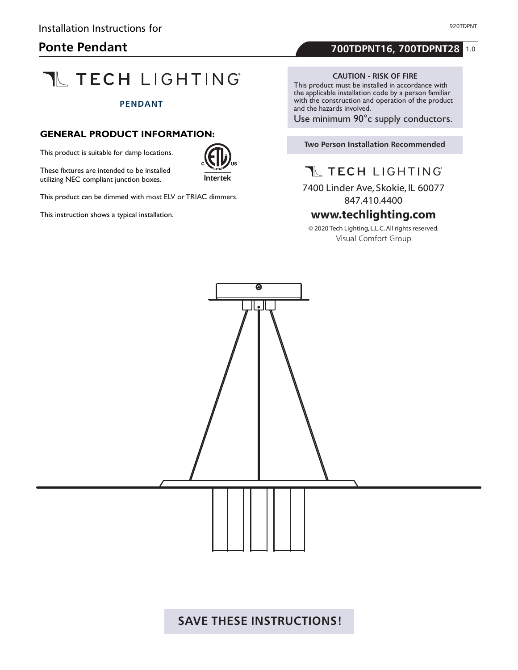# **Ponte Pendant**

# **TL TECH LIGHTING**

### **PENDANT**

# **GENERAL PRODUCT INFORMATION:**

This product is suitable for damp locations.

These fixtures are intended to be installed utilizing NEC compliant junction boxes.



This product can be dimmed with most ELV or TRIAC dimmers.

This instruction shows a typical installation.

# 1.0 **700TDPNT16, 700TDPNT28**

#### **CAUTION - RISK OF FIRE**

This product must be installed in accordance with the applicable installation code by a person familiar with the construction and operation of the product and the hazards involved.

Use minimum 90°c supply conductors.

## **Two Person Installation Recommended**

T TECH LIGHTING

7400 Linder Ave, Skokie, IL 60077 847.410.4400

www.techlighting.com<br>◎ 2020 Tech Lighting, L.L.C. All rights reserved. Visual Comfort Group

 $\overline{\mathbf{e}}$ 

 $\cdot$